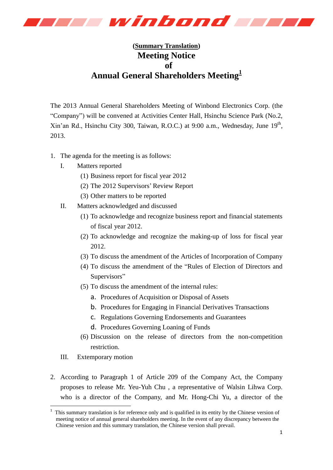

## **(Summary Translation) Meeting Notice of Annual General Shareholders Meeting<sup>1</sup>**

The 2013 Annual General Shareholders Meeting of Winbond Electronics Corp. (the "Company") will be convened at Activities Center Hall, Hsinchu Science Park (No.2, Xin'an Rd., Hsinchu City 300, Taiwan, R.O.C.) at 9:00 a.m., Wednesday, June 19<sup>th</sup>, 2013.

- 1. The agenda for the meeting is as follows:
	- I. Matters reported
		- (1) Business report for fiscal year 2012
		- (2) The 2012 Supervisors' Review Report
		- (3) Other matters to be reported
	- II. Matters acknowledged and discussed
		- (1) To acknowledge and recognize business report and financial statements of fiscal year 2012.
		- (2) To acknowledge and recognize the making-up of loss for fiscal year 2012.
		- (3) To discuss the amendment of the Articles of Incorporation of Company
		- (4) To discuss the amendment of the "Rules of Election of Directors and Supervisors"
		- (5) To discuss the amendment of the internal rules:
			- a. Procedures of Acquisition or Disposal of Assets
			- b. Procedures for Engaging in Financial Derivatives Transactions
			- c. Regulations Governing Endorsements and Guarantees
			- d. Procedures Governing Loaning of Funds
		- (6) Discussion on the release of directors from the non-competition restriction.
	- III. Extemporary motion

-

2. According to Paragraph 1 of Article 209 of the Company Act, the Company proposes to release Mr. Yeu-Yuh Chu , a representative of Walsin Lihwa Corp. who is a director of the Company, and Mr. Hong-Chi Yu, a director of the

<sup>1</sup> This summary translation is for reference only and is qualified in its entity by the Chinese version of meeting notice of annual general shareholders meeting. In the event of any discrepancy between the Chinese version and this summary translation, the Chinese version shall prevail.